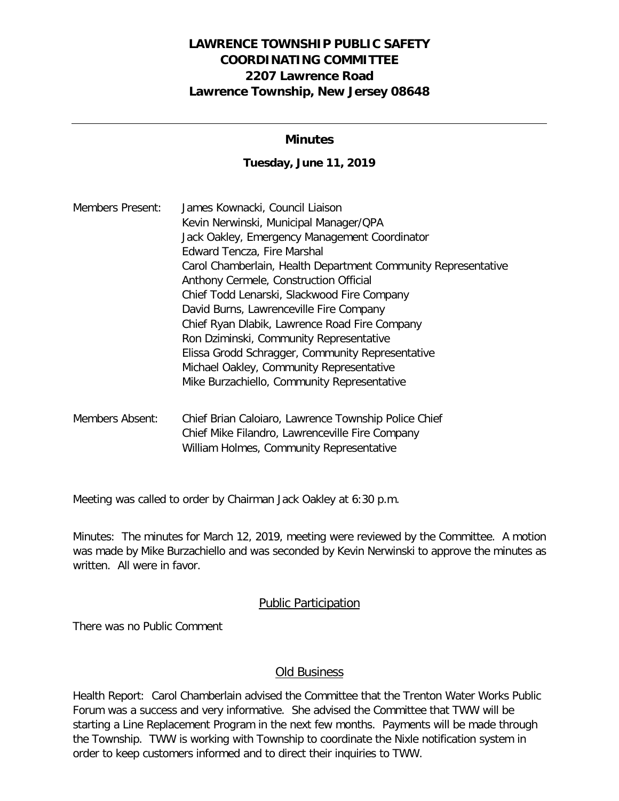# **LAWRENCE TOWNSHIP PUBLIC SAFETY COORDINATING COMMITTEE 2207 Lawrence Road Lawrence Township, New Jersey 08648**

### **Minutes**

#### **Tuesday, June 11, 2019**

| <b>Members Present:</b> | James Kownacki, Council Liaison                               |
|-------------------------|---------------------------------------------------------------|
|                         | Kevin Nerwinski, Municipal Manager/QPA                        |
|                         | Jack Oakley, Emergency Management Coordinator                 |
|                         | Edward Tencza, Fire Marshal                                   |
|                         | Carol Chamberlain, Health Department Community Representative |
|                         | Anthony Cermele, Construction Official                        |
|                         | Chief Todd Lenarski, Slackwood Fire Company                   |
|                         | David Burns, Lawrenceville Fire Company                       |
|                         | Chief Ryan Dlabik, Lawrence Road Fire Company                 |
|                         | Ron Dziminski, Community Representative                       |
|                         | Elissa Grodd Schragger, Community Representative              |
|                         | Michael Oakley, Community Representative                      |
|                         | Mike Burzachiello, Community Representative                   |
|                         |                                                               |

Members Absent: Chief Brian Caloiaro, Lawrence Township Police Chief Chief Mike Filandro, Lawrenceville Fire Company William Holmes, Community Representative

Meeting was called to order by Chairman Jack Oakley at 6:30 p.m.

Minutes: The minutes for March 12, 2019, meeting were reviewed by the Committee. A motion was made by Mike Burzachiello and was seconded by Kevin Nerwinski to approve the minutes as written. All were in favor.

#### Public Participation

There was no Public Comment

# Old Business

Health Report: Carol Chamberlain advised the Committee that the Trenton Water Works Public Forum was a success and very informative. She advised the Committee that TWW will be starting a Line Replacement Program in the next few months. Payments will be made through the Township. TWW is working with Township to coordinate the Nixle notification system in order to keep customers informed and to direct their inquiries to TWW.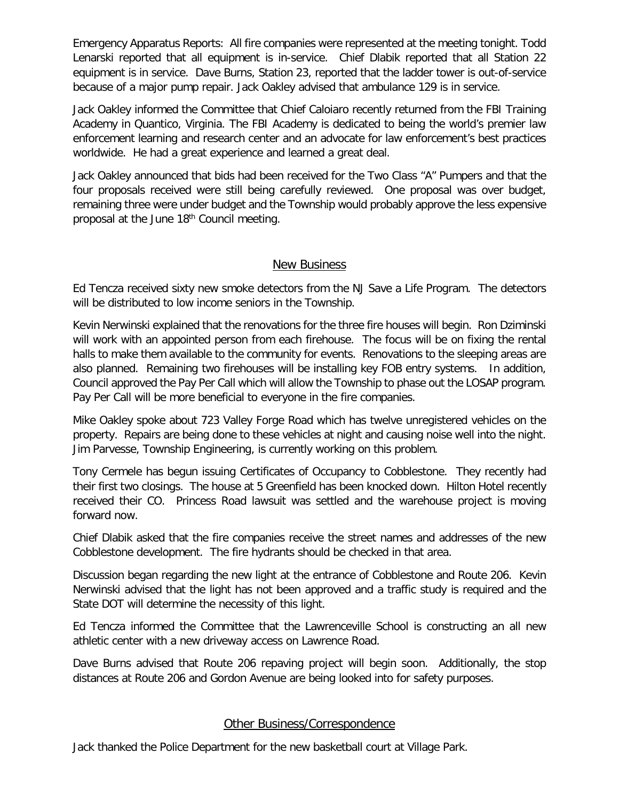Emergency Apparatus Reports: All fire companies were represented at the meeting tonight. Todd Lenarski reported that all equipment is in-service. Chief Dlabik reported that all Station 22 equipment is in service. Dave Burns, Station 23, reported that the ladder tower is out-of-service because of a major pump repair. Jack Oakley advised that ambulance 129 is in service.

Jack Oakley informed the Committee that Chief Caloiaro recently returned from the FBI Training Academy in Quantico, Virginia. The FBI Academy is dedicated to being the world's premier law enforcement learning and research center and an advocate for law enforcement's best practices worldwide. He had a great experience and learned a great deal.

Jack Oakley announced that bids had been received for the Two Class "A" Pumpers and that the four proposals received were still being carefully reviewed. One proposal was over budget, remaining three were under budget and the Township would probably approve the less expensive proposal at the June 18<sup>th</sup> Council meeting.

### New Business

Ed Tencza received sixty new smoke detectors from the NJ Save a Life Program. The detectors will be distributed to low income seniors in the Township.

Kevin Nerwinski explained that the renovations for the three fire houses will begin. Ron Dziminski will work with an appointed person from each firehouse. The focus will be on fixing the rental halls to make them available to the community for events. Renovations to the sleeping areas are also planned. Remaining two firehouses will be installing key FOB entry systems. In addition, Council approved the Pay Per Call which will allow the Township to phase out the LOSAP program. Pay Per Call will be more beneficial to everyone in the fire companies.

Mike Oakley spoke about 723 Valley Forge Road which has twelve unregistered vehicles on the property. Repairs are being done to these vehicles at night and causing noise well into the night. Jim Parvesse, Township Engineering, is currently working on this problem.

Tony Cermele has begun issuing Certificates of Occupancy to Cobblestone. They recently had their first two closings. The house at 5 Greenfield has been knocked down. Hilton Hotel recently received their CO. Princess Road lawsuit was settled and the warehouse project is moving forward now.

Chief Dlabik asked that the fire companies receive the street names and addresses of the new Cobblestone development. The fire hydrants should be checked in that area.

Discussion began regarding the new light at the entrance of Cobblestone and Route 206. Kevin Nerwinski advised that the light has not been approved and a traffic study is required and the State DOT will determine the necessity of this light.

Ed Tencza informed the Committee that the Lawrenceville School is constructing an all new athletic center with a new driveway access on Lawrence Road.

Dave Burns advised that Route 206 repaving project will begin soon. Additionally, the stop distances at Route 206 and Gordon Avenue are being looked into for safety purposes.

# Other Business/Correspondence

Jack thanked the Police Department for the new basketball court at Village Park.